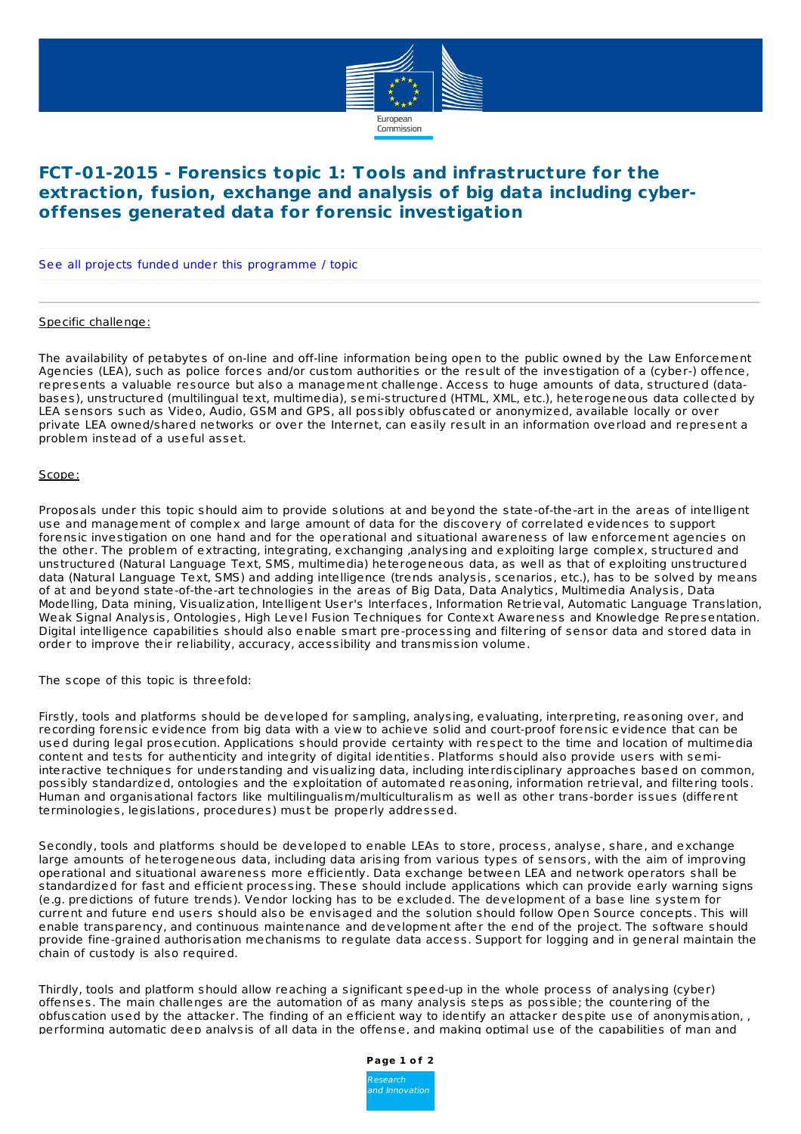

## **FCT-01-2015 - Forensics topic 1: Tools and infrastructure for the extraction, fusion, exchange and analysis of big data including cyberoffenses generated data for forensic investigation**

See all projects funded under this [programme](http://cordis.europa.eu/projects/result_en.html?q=(relatedProgramme/programme/code=) / topic

Specific challenge:

The availability of petabytes of on-line and off-line information being open to the public owned by the Law Enforcement Agencies (LEA), such as police forces and/or custom authorities or the result of the investigation of a (cyber-) offence, represents a valuable resource but also a management challenge. Access to huge amounts of data, structured (databases), unstructured (multilingual text, multimedia), semi-structured (HTML, XML, etc.), heterogeneous data collected by LEA sensors such as Video, Audio, GSM and GPS, all possibly obfuscated or anonymized, available locally or over private LEA owned/shared networks or over the Internet, can easily result in an information overload and represent a problem instead of a useful asset.

## Scope:

Proposals under this topic should aim to provide solutions at and beyond the state-of-the-art in the areas of intelligent use and management of complex and large amount of data for the discovery of correlated evidences to support forensic investigation on one hand and for the operational and situational awareness of law enforcement agencies on the other. The problem of extracting, integrating, exchanging ,analysing and exploiting large complex, structured and unstructured (Natural Language Text, SMS, multimedia) heterogeneous data, as well as that of exploiting unstructured data (Natural Language Text, SMS) and adding intelligence (trends analysis, scenarios, etc.), has to be solved by means of at and beyond state-of-the-art technologies in the areas of Big Data, Data Analytics, Multimedia Analysis, Data Modelling, Data mining, Visualization, Intelligent User's Interfaces, Information Retrieval, Automatic Language Translation, Weak Signal Analysis, Ontologies, High Level Fusion Techniques for Context Awareness and Knowledge Representation. Digital intelligence capabilities should also enable smart pre-processing and filtering of sensor data and stored data in order to improve their reliability, accuracy, accessibility and transmission volume.

The scope of this topic is threefold:

Firstly, tools and platforms should be developed for sampling, analysing, evaluating, interpreting, reasoning over, and recording forensic evidence from big data with a view to achieve solid and court-proof forensic evidence that can be used during legal prosecution. Applications should provide certainty with respect to the time and location of multimedia content and tests for authenticity and integrity of digital identities. Platforms should also provide users with semiinteractive techniques for understanding and visualizing data, including interdisciplinary approaches based on common, possibly standardized, ontologies and the exploitation of automated reasoning, information retrieval, and filtering tools. Human and organisational factors like multilingualism/multiculturalism as well as other trans-border issues (different terminologies, legislations, procedures) must be properly addressed.

Secondly, tools and platforms should be developed to enable LEAs to store, process, analyse, share, and exchange large amounts of heterogeneous data, including data arising from various types of sensors, with the aim of improving operational and situational awareness more efficiently. Data exchange between LEA and network operators shall be standardized for fast and efficient processing. These should include applications which can provide early warning signs (e.g. predictions of future trends). Vendor locking has to be excluded. The development of a base line system for current and future end users should also be envisaged and the solution should follow Open Source concepts. This will enable transparency, and continuous maintenance and development after the end of the project. The software should provide fine-grained authorisation mechanisms to regulate data access. Support for logging and in general maintain the chain of custody is also required.

Thirdly, tools and platform should allow reaching a significant speed-up in the whole process of analysing (cyber) offenses. The main challenges are the automation of as many analysis steps as possible; the countering of the obfuscation used by the attacker. The finding of an efficient way to identify an attacker despite use of anonymisation, , performing automatic deep analysis of all data in the offense, and making optimal use of the capabilities of man and